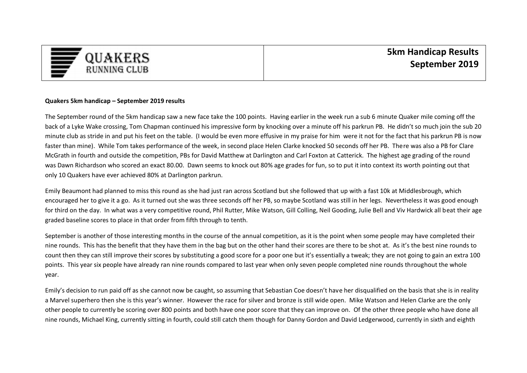

## **Quakers 5km handicap – September 2019 results**

The September round of the 5km handicap saw a new face take the 100 points. Having earlier in the week run a sub 6 minute Quaker mile coming off the back of a Lyke Wake crossing, Tom Chapman continued his impressive form by knocking over a minute off his parkrun PB. He didn't so much join the sub 20 minute club as stride in and put his feet on the table. (I would be even more effusive in my praise for him were it not for the fact that his parkrun PB is now faster than mine). While Tom takes performance of the week, in second place Helen Clarke knocked 50 seconds off her PB. There was also a PB for Clare McGrath in fourth and outside the competition, PBs for David Matthew at Darlington and Carl Foxton at Catterick. The highest age grading of the round was Dawn Richardson who scored an exact 80.00. Dawn seems to knock out 80% age grades for fun, so to put it into context its worth pointing out that only 10 Quakers have ever achieved 80% at Darlington parkrun.

Emily Beaumont had planned to miss this round as she had just ran across Scotland but she followed that up with a fast 10k at Middlesbrough, which encouraged her to give it a go. As it turned out she was three seconds off her PB, so maybe Scotland was still in her legs. Nevertheless it was good enough for third on the day. In what was a very competitive round, Phil Rutter, Mike Watson, Gill Colling, Neil Gooding, Julie Bell and Viv Hardwick all beat their age graded baseline scores to place in that order from fifth through to tenth.

September is another of those interesting months in the course of the annual competition, as it is the point when some people may have completed their nine rounds. This has the benefit that they have them in the bag but on the other hand their scores are there to be shot at. As it's the best nine rounds to count then they can still improve their scores by substituting a good score for a poor one but it's essentially a tweak; they are not going to gain an extra 100 points. This year six people have already ran nine rounds compared to last year when only seven people completed nine rounds throughout the whole year.

Emily's decision to run paid off as she cannot now be caught, so assuming that Sebastian Coe doesn't have her disqualified on the basis that she is in reality a Marvel superhero then she is this year's winner. However the race for silver and bronze is still wide open. Mike Watson and Helen Clarke are the only other people to currently be scoring over 800 points and both have one poor score that they can improve on. Of the other three people who have done all nine rounds, Michael King, currently sitting in fourth, could still catch them though for Danny Gordon and David Ledgerwood, currently in sixth and eighth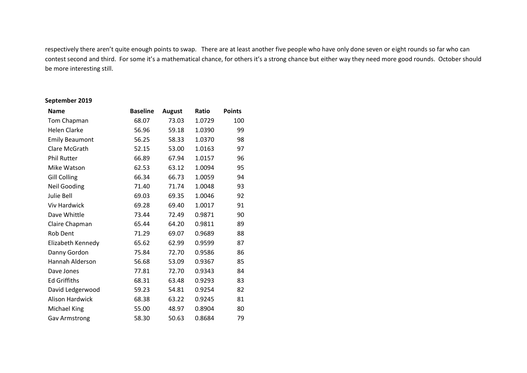respectively there aren't quite enough points to swap. There are at least another five people who have only done seven or eight rounds so far who can contest second and third. For some it's a mathematical chance, for others it's a strong chance but either way they need more good rounds. October should be more interesting still.

## **September 2019**

| <b>Name</b>            | <b>Baseline</b> | <b>August</b> | Ratio  | <b>Points</b> |
|------------------------|-----------------|---------------|--------|---------------|
| Tom Chapman            | 68.07           | 73.03         | 1.0729 | 100           |
| <b>Helen Clarke</b>    | 56.96           | 59.18         | 1.0390 | 99            |
| <b>Emily Beaumont</b>  | 56.25           | 58.33         | 1.0370 | 98            |
| Clare McGrath          | 52.15           | 53.00         | 1.0163 | 97            |
| <b>Phil Rutter</b>     | 66.89           | 67.94         | 1.0157 | 96            |
| Mike Watson            | 62.53           | 63.12         | 1.0094 | 95            |
| <b>Gill Colling</b>    | 66.34           | 66.73         | 1.0059 | 94            |
| <b>Neil Gooding</b>    | 71.40           | 71.74         | 1.0048 | 93            |
| Julie Bell             | 69.03           | 69.35         | 1.0046 | 92            |
| <b>Viv Hardwick</b>    | 69.28           | 69.40         | 1.0017 | 91            |
| Dave Whittle           | 73.44           | 72.49         | 0.9871 | 90            |
| Claire Chapman         | 65.44           | 64.20         | 0.9811 | 89            |
| <b>Rob Dent</b>        | 71.29           | 69.07         | 0.9689 | 88            |
| Elizabeth Kennedy      | 65.62           | 62.99         | 0.9599 | 87            |
| Danny Gordon           | 75.84           | 72.70         | 0.9586 | 86            |
| Hannah Alderson        | 56.68           | 53.09         | 0.9367 | 85            |
| Dave Jones             | 77.81           | 72.70         | 0.9343 | 84            |
| <b>Ed Griffiths</b>    | 68.31           | 63.48         | 0.9293 | 83            |
| David Ledgerwood       | 59.23           | 54.81         | 0.9254 | 82            |
| <b>Alison Hardwick</b> | 68.38           | 63.22         | 0.9245 | 81            |
| Michael King           | 55.00           | 48.97         | 0.8904 | 80            |
| <b>Gav Armstrong</b>   | 58.30           | 50.63         | 0.8684 | 79            |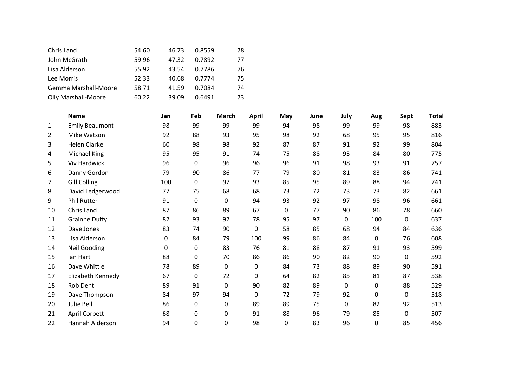| Chris Land                 | 54.60 | 46.73 | 0.8559 | 78 |
|----------------------------|-------|-------|--------|----|
| John McGrath               | 59.96 | 47.32 | 0.7892 | 77 |
| Lisa Alderson              | 55.92 | 43.54 | 0.7786 | 76 |
| Lee Morris                 | 52.33 | 40.68 | 0.7774 | 75 |
| Gemma Marshall-Moore       | 58.71 | 41.59 | 0.7084 | 74 |
| <b>Olly Marshall-Moore</b> | 60.22 | 39.09 | 0.6491 | 73 |

|                | <b>Name</b>           | Jan              | Feb | <b>March</b> | April    | May | June | July | Aug | Sept     | <b>Total</b> |
|----------------|-----------------------|------------------|-----|--------------|----------|-----|------|------|-----|----------|--------------|
| 1              | <b>Emily Beaumont</b> | 98               | 99  | 99           | 99       | 94  | 98   | 99   | 99  | 98       | 883          |
| $\overline{2}$ | Mike Watson           | 92               | 88  | 93           | 95       | 98  | 92   | 68   | 95  | 95       | 816          |
| 3              | Helen Clarke          | 60               | 98  | 98           | 92       | 87  | 87   | 91   | 92  | 99       | 804          |
| 4              | Michael King          | 95               | 95  | 91           | 74       | 75  | 88   | 93   | 84  | 80       | 775          |
| 5              | Viv Hardwick          | 96               | 0   | 96           | 96       | 96  | 91   | 98   | 93  | 91       | 757          |
| 6              | Danny Gordon          | 79               | 90  | 86           | 77       | 79  | 80   | 81   | 83  | 86       | 741          |
| 7              | <b>Gill Colling</b>   | 100              | 0   | 97           | 93       | 85  | 95   | 89   | 88  | 94       | 741          |
| 8              | David Ledgerwood      | 77               | 75  | 68           | 68       | 73  | 72   | 73   | 73  | 82       | 661          |
| 9              | Phil Rutter           | 91               | 0   | 0            | 94       | 93  | 92   | 97   | 98  | 96       | 661          |
| 10             | Chris Land            | 87               | 86  | 89           | 67       | 0   | 77   | 90   | 86  | 78       | 660          |
| 11             | <b>Grainne Duffy</b>  | 82               | 93  | 92           | 78       | 95  | 97   | 0    | 100 | $\Omega$ | 637          |
| 12             | Dave Jones            | 83               | 74  | 90           | 0        | 58  | 85   | 68   | 94  | 84       | 636          |
| 13             | Lisa Alderson         | 0                | 84  | 79           | 100      | 99  | 86   | 84   | 0   | 76       | 608          |
| 14             | <b>Neil Gooding</b>   | $\boldsymbol{0}$ | 0   | 83           | 76       | 81  | 88   | 87   | 91  | 93       | 599          |
| 15             | lan Hart              | 88               | 0   | 70           | 86       | 86  | 90   | 82   | 90  | $\Omega$ | 592          |
| 16             | Dave Whittle          | 78               | 89  | 0            | 0        | 84  | 73   | 88   | 89  | 90       | 591          |
| 17             | Elizabeth Kennedy     | 67               | 0   | 72           | $\Omega$ | 64  | 82   | 85   | 81  | 87       | 538          |
| 18             | Rob Dent              | 89               | 91  | 0            | 90       | 82  | 89   | 0    | 0   | 88       | 529          |
| 19             | Dave Thompson         | 84               | 97  | 94           | 0        | 72  | 79   | 92   | 0   | 0        | 518          |
| 20             | Julie Bell            | 86               | 0   | 0            | 89       | 89  | 75   | 0    | 82  | 92       | 513          |
| 21             | April Corbett         | 68               | 0   | 0            | 91       | 88  | 96   | 79   | 85  | 0        | 507          |
| 22             | Hannah Alderson       | 94               | 0   | 0            | 98       | 0   | 83   | 96   | 0   | 85       | 456          |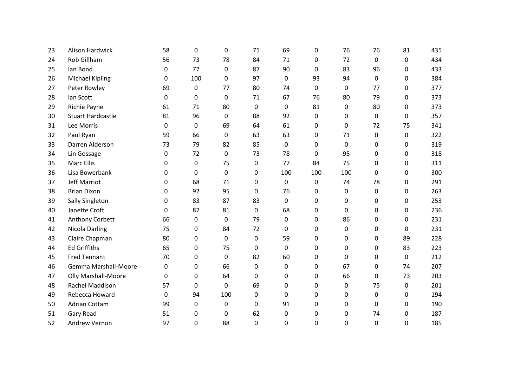| 23 | <b>Alison Hardwick</b>   | 58       | 0   | 0           | 75           | 69           | 0           | 76  | 76          | 81           | 435 |
|----|--------------------------|----------|-----|-------------|--------------|--------------|-------------|-----|-------------|--------------|-----|
| 24 | <b>Rob Gillham</b>       | 56       | 73  | 78          | 84           | 71           | 0           | 72  | $\mathbf 0$ | 0            | 434 |
| 25 | lan Bond                 | 0        | 77  | $\Omega$    | 87           | 90           | 0           | 83  | 96          | 0            | 433 |
| 26 | <b>Michael Kipling</b>   | 0        | 100 | $\Omega$    | 97           | 0            | 93          | 94  | $\Omega$    | 0            | 384 |
| 27 | Peter Rowley             | 69       | 0   | 77          | 80           | 74           | 0           | 0   | 77          | 0            | 377 |
| 28 | lan Scott                | 0        | 0   | $\Omega$    | 71           | 67           | 76          | 80  | 79          | 0            | 373 |
| 29 | Richie Payne             | 61       | 71  | 80          | 0            | 0            | 81          | 0   | 80          | 0            | 373 |
| 30 | <b>Stuart Hardcastle</b> | 81       | 96  | 0           | 88           | 92           | $\pmb{0}$   | 0   | 0           | 0            | 357 |
| 31 | Lee Morris               | 0        | 0   | 69          | 64           | 61           | 0           | 0   | 72          | 75           | 341 |
| 32 | Paul Ryan                | 59       | 66  | 0           | 63           | 63           | 0           | 71  | 0           | 0            | 322 |
| 33 | Darren Alderson          | 73       | 79  | 82          | 85           | 0            | 0           | 0   | 0           | 0            | 319 |
| 34 | Lin Gossage              | 0        | 72  | $\mathbf 0$ | 73           | 78           | $\mathbf 0$ | 95  | 0           | 0            | 318 |
| 35 | <b>Marc Ellis</b>        | $\Omega$ | 0   | 75          | 0            | 77           | 84          | 75  | 0           | $\Omega$     | 311 |
| 36 | Lisa Bowerbank           | 0        | 0   | $\mathbf 0$ | 0            | 100          | 100         | 100 | 0           | 0            | 300 |
| 37 | Jeff Marriot             | $\Omega$ | 68  | 71          | 0            | 0            | 0           | 74  | 78          | 0            | 291 |
| 38 | <b>Brian Dixon</b>       | $\Omega$ | 92  | 95          | 0            | 76           | $\pmb{0}$   | 0   | 0           | 0            | 263 |
| 39 | <b>Sally Singleton</b>   | $\Omega$ | 83  | 87          | 83           | $\Omega$     | 0           | 0   | 0           | 0            | 253 |
| 40 | Janette Croft            | $\Omega$ | 87  | 81          | 0            | 68           | $\pmb{0}$   | 0   | 0           | 0            | 236 |
| 41 | Anthony Corbett          | 66       | 0   | 0           | 79           | 0            | 0           | 86  | 0           | 0            | 231 |
| 42 | <b>Nicola Darling</b>    | 75       | 0   | 84          | 72           | 0            | $\pmb{0}$   | 0   | 0           | 0            | 231 |
| 43 | Claire Chapman           | 80       | 0   | $\Omega$    | $\mathbf{0}$ | 59           | $\Omega$    | 0   | $\Omega$    | 89           | 228 |
| 44 | <b>Ed Griffiths</b>      | 65       | 0   | 75          | $\mathbf{0}$ | $\mathbf{0}$ | 0           | 0   | 0           | 83           | 223 |
| 45 | <b>Fred Tennant</b>      | 70       | 0   | $\mathbf 0$ | 82           | 60           | 0           | 0   | 0           | 0            | 212 |
| 46 | Gemma Marshall-Moore     | 0        | 0   | 66          | 0            | 0            | $\mathbf 0$ | 67  | 0           | 74           | 207 |
| 47 | Olly Marshall-Moore      | 0        | 0   | 64          | $\Omega$     | 0            | 0           | 66  | 0           | 73           | 203 |
| 48 | Rachel Maddison          | 57       | 0   | 0           | 69           | 0            | $\pmb{0}$   | 0   | 75          | 0            | 201 |
| 49 | Rebecca Howard           | 0        | 94  | 100         | 0            | 0            | 0           | 0   | 0           | 0            | 194 |
| 50 | <b>Adrian Cottam</b>     | 99       | 0   | 0           | 0            | 91           | $\pmb{0}$   | 0   | 0           | 0            | 190 |
| 51 | Gary Read                | 51       | 0   | 0           | 62           | 0            | 0           | 0   | 74          | 0            | 187 |
| 52 | Andrew Vernon            | 97       | 0   | 88          | 0            | 0            | 0           | 0   | 0           | $\mathbf{0}$ | 185 |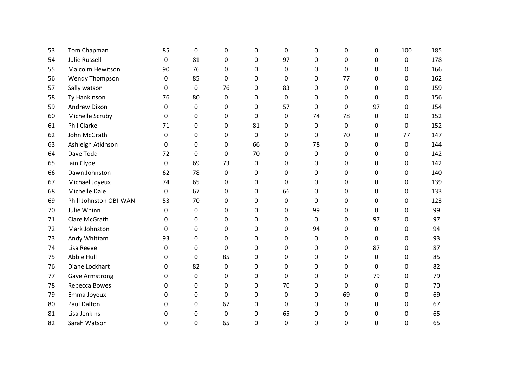| 53 | Tom Chapman             | 85       | 0  | $\Omega$     | 0           | 0  | 0        | 0        | $\Omega$ | 100 | 185 |
|----|-------------------------|----------|----|--------------|-------------|----|----------|----------|----------|-----|-----|
| 54 | <b>Julie Russell</b>    | 0        | 81 | $\Omega$     | 0           | 97 | 0        | 0        | 0        | 0   | 178 |
| 55 | <b>Malcolm Hewitson</b> | 90       | 76 | $\Omega$     | 0           | 0  | 0        | $\Omega$ | 0        | 0   | 166 |
| 56 | Wendy Thompson          | 0        | 85 | $\Omega$     | 0           | 0  | 0        | 77       | 0        | 0   | 162 |
| 57 | Sally watson            | $\Omega$ | 0  | 76           | 0           | 83 | 0        | 0        | 0        | 0   | 159 |
| 58 | Ty Hankinson            | 76       | 80 | 0            | 0           | 0  | 0        | 0        | 0        | 0   | 156 |
| 59 | Andrew Dixon            | 0        | 0  | 0            | 0           | 57 | 0        | 0        | 97       | 0   | 154 |
| 60 | Michelle Scruby         | 0        | 0  | 0            | 0           | 0  | 74       | 78       | 0        | 0   | 152 |
| 61 | Phil Clarke             | 71       | 0  | 0            | 81          | 0  | 0        | 0        | 0        | 0   | 152 |
| 62 | John McGrath            | 0        | 0  | 0            | 0           | 0  | 0        | 70       | 0        | 77  | 147 |
| 63 | Ashleigh Atkinson       | 0        | 0  | $\Omega$     | 66          | 0  | 78       | 0        | $\Omega$ | 0   | 144 |
| 64 | Dave Todd               | 72       | 0  | $\mathbf{0}$ | 70          | 0  | 0        | 0        | 0        | 0   | 142 |
| 65 | Iain Clyde              | 0        | 69 | 73           | 0           | 0  | 0        | 0        | $\Omega$ | 0   | 142 |
| 66 | Dawn Johnston           | 62       | 78 | $\mathbf 0$  | 0           | 0  | 0        | 0        | 0        | 0   | 140 |
| 67 | Michael Joyeux          | 74       | 65 | $\Omega$     | 0           | 0  | 0        | 0        | $\Omega$ | 0   | 139 |
| 68 | Michelle Dale           | 0        | 67 | $\Omega$     | 0           | 66 | 0        | 0        | 0        | 0   | 133 |
| 69 | Phill Johnston OBI-WAN  | 53       | 70 | $\Omega$     | 0           | 0  | 0        | 0        | $\Omega$ | 0   | 123 |
| 70 | Julie Whinn             | 0        | 0  | $\Omega$     | 0           | 0  | 99       | 0        | 0        | 0   | 99  |
| 71 | Clare McGrath           | 0        | 0  | $\Omega$     | 0           | 0  | $\Omega$ | 0        | 97       | 0   | 97  |
| 72 | Mark Johnston           | $\Omega$ | 0  | 0            | 0           | 0  | 94       | 0        | 0        | 0   | 94  |
| 73 | Andy Whittam            | 93       | 0  | $\Omega$     | $\Omega$    | 0  | $\Omega$ | 0        | $\Omega$ | 0   | 93  |
| 74 | Lisa Reeve              | 0        | 0  | $\Omega$     | $\mathbf 0$ | 0  | 0        | 0        | 87       | 0   | 87  |
| 75 | Abbie Hull              | $\Omega$ | 0  | 85           | 0           | 0  | 0        | 0        | $\Omega$ | 0   | 85  |
| 76 | Diane Lockhart          | $\Omega$ | 82 | 0            | $\mathbf 0$ | 0  | 0        | 0        | $\Omega$ | 0   | 82  |
| 77 | <b>Gave Armstrong</b>   | 0        | 0  | $\Omega$     | 0           | 0  | 0        | 0        | 79       | 0   | 79  |
| 78 | Rebecca Bowes           | 0        | 0  | 0            | 0           | 70 | 0        | 0        | 0        | 0   | 70  |
| 79 | Emma Joyeux             | 0        | 0  | $\Omega$     | 0           | 0  | 0        | 69       | $\Omega$ | 0   | 69  |
| 80 | Paul Dalton             | 0        | 0  | 67           | $\pmb{0}$   | 0  | 0        | 0        | 0        | 0   | 67  |
| 81 | Lisa Jenkins            | 0        | 0  | $\Omega$     | 0           | 65 | 0        | 0        | 0        | 0   | 65  |
| 82 | Sarah Watson            | 0        | 0  | 65           | 0           | 0  | 0        | 0        | $\Omega$ | 0   | 65  |